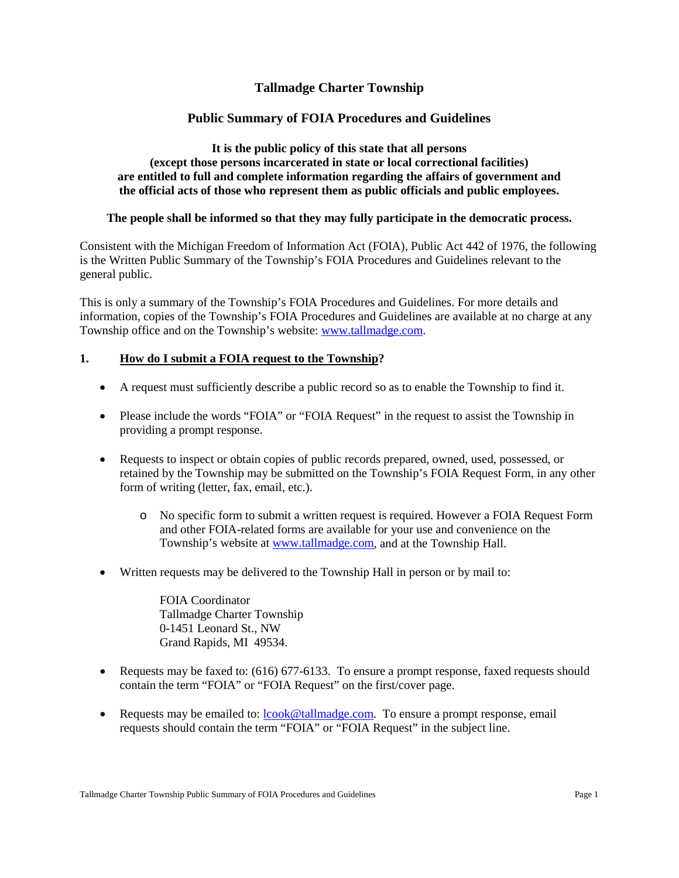# **Tallmadge Charter Township**

# **Public Summary of FOIA Procedures and Guidelines**

#### **It is the public policy of this state that all persons (except those persons incarcerated in state or local correctional facilities) are entitled to full and complete information regarding the affairs of government and the official acts of those who represent them as public officials and public employees.**

### **The people shall be informed so that they may fully participate in the democratic process.**

Consistent with the Michigan Freedom of Information Act (FOIA), Public Act 442 of 1976, the following is the Written Public Summary of the Township's FOIA Procedures and Guidelines relevant to the general public.

This is only a summary of the Township's FOIA Procedures and Guidelines. For more details and information, copies of the Township's FOIA Procedures and Guidelines are available at no charge at any Township office and on the Township's website: [www.tallmadge.com.](http://www.tallmadge.com/)

### **1. How do I submit a FOIA request to the Township?**

- A request must sufficiently describe a public record so as to enable the Township to find it.
- Please include the words "FOIA" or "FOIA Request" in the request to assist the Township in providing a prompt response.
- Requests to inspect or obtain copies of public records prepared, owned, used, possessed, or retained by the Township may be submitted on the Township's FOIA Request Form, in any other form of writing (letter, fax, email, etc.).
	- o No specific form to submit a written request is required. However a FOIA Request Form and other FOIA-related forms are available for your use and convenience on the Township's website at [www.tallmadge.com,](http://www.tallmadge.com/) and at the Township Hall.
- Written requests may be delivered to the Township Hall in person or by mail to:

FOIA Coordinator Tallmadge Charter Township 0-1451 Leonard St., NW Grand Rapids, MI 49534.

- Requests may be faxed to: (616) 677-6133. To ensure a prompt response, faxed requests should contain the term "FOIA" or "FOIA Request" on the first/cover page.
- Requests may be emailed to: [lcook@tallmadge.com.](mailto:lcook@tallmadge.com) To ensure a prompt response, email requests should contain the term "FOIA" or "FOIA Request" in the subject line.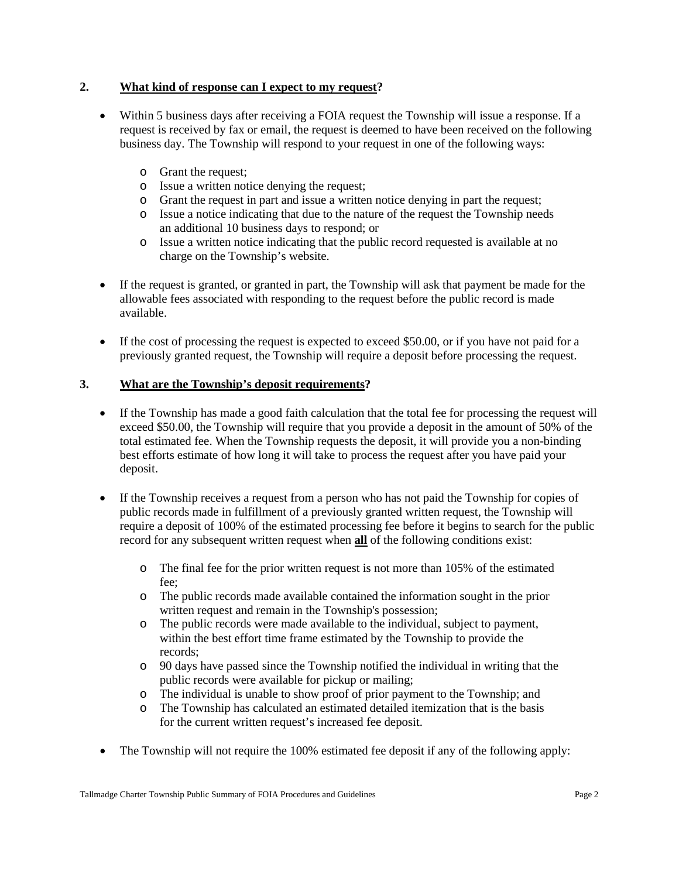### **2. What kind of response can I expect to my request?**

- Within 5 business days after receiving a FOIA request the Township will issue a response. If a request is received by fax or email, the request is deemed to have been received on the following business day. The Township will respond to your request in one of the following ways:
	- o Grant the request;
	- o Issue a written notice denying the request;
	- o Grant the request in part and issue a written notice denying in part the request;
	- o Issue a notice indicating that due to the nature of the request the Township needs an additional 10 business days to respond; or
	- o Issue a written notice indicating that the public record requested is available at no charge on the Township's website.
- If the request is granted, or granted in part, the Township will ask that payment be made for the allowable fees associated with responding to the request before the public record is made available.
- If the cost of processing the request is expected to exceed \$50.00, or if you have not paid for a previously granted request, the Township will require a deposit before processing the request.

### **3. What are the Township's deposit requirements?**

- If the Township has made a good faith calculation that the total fee for processing the request will exceed \$50.00, the Township will require that you provide a deposit in the amount of 50% of the total estimated fee. When the Township requests the deposit, it will provide you a non-binding best efforts estimate of how long it will take to process the request after you have paid your deposit.
- If the Township receives a request from a person who has not paid the Township for copies of public records made in fulfillment of a previously granted written request, the Township will require a deposit of 100% of the estimated processing fee before it begins to search for the public record for any subsequent written request when **all** of the following conditions exist:
	- o The final fee for the prior written request is not more than 105% of the estimated fee;
	- o The public records made available contained the information sought in the prior written request and remain in the Township's possession;
	- o The public records were made available to the individual, subject to payment, within the best effort time frame estimated by the Township to provide the records;
	- o 90 days have passed since the Township notified the individual in writing that the public records were available for pickup or mailing;
	- o The individual is unable to show proof of prior payment to the Township; and
	- The Township has calculated an estimated detailed itemization that is the basis for the current written request's increased fee deposit.
- The Township will not require the 100% estimated fee deposit if any of the following apply: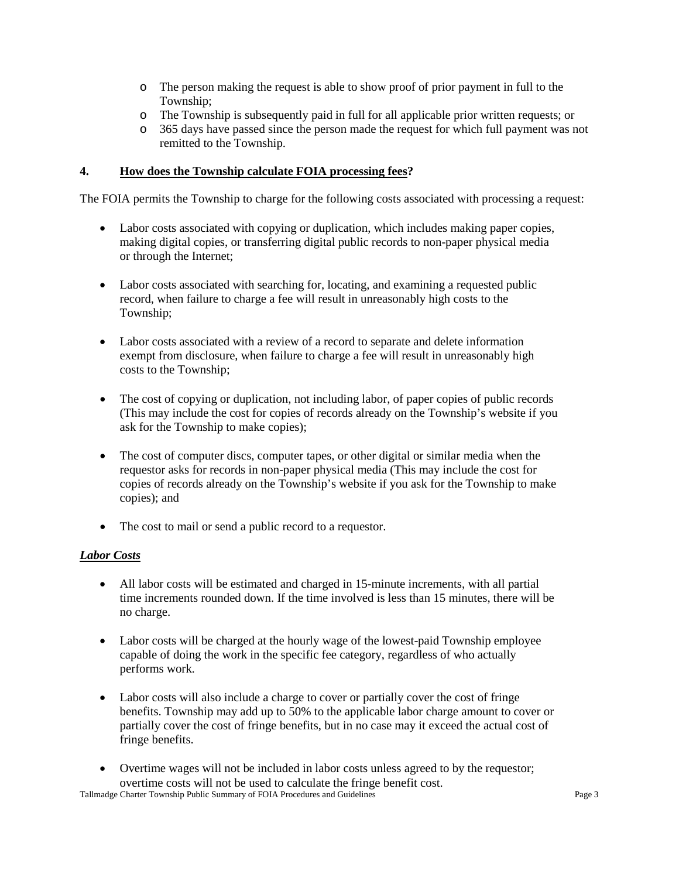- o The person making the request is able to show proof of prior payment in full to the Township;
- o The Township is subsequently paid in full for all applicable prior written requests; or
- 365 days have passed since the person made the request for which full payment was not remitted to the Township.

### **4. How does the Township calculate FOIA processing fees?**

The FOIA permits the Township to charge for the following costs associated with processing a request:

- Labor costs associated with copying or duplication, which includes making paper copies, making digital copies, or transferring digital public records to non-paper physical media or through the Internet;
- Labor costs associated with searching for, locating, and examining a requested public record, when failure to charge a fee will result in unreasonably high costs to the Township;
- Labor costs associated with a review of a record to separate and delete information exempt from disclosure, when failure to charge a fee will result in unreasonably high costs to the Township;
- The cost of copying or duplication, not including labor, of paper copies of public records (This may include the cost for copies of records already on the Township's website if you ask for the Township to make copies);
- The cost of computer discs, computer tapes, or other digital or similar media when the requestor asks for records in non-paper physical media (This may include the cost for copies of records already on the Township's website if you ask for the Township to make copies); and
- The cost to mail or send a public record to a requestor.

### *Labor Costs*

- All labor costs will be estimated and charged in 15-minute increments, with all partial time increments rounded down. If the time involved is less than 15 minutes, there will be no charge.
- Labor costs will be charged at the hourly wage of the lowest-paid Township employee capable of doing the work in the specific fee category, regardless of who actually performs work.
- Labor costs will also include a charge to cover or partially cover the cost of fringe benefits. Township may add up to 50% to the applicable labor charge amount to cover or partially cover the cost of fringe benefits, but in no case may it exceed the actual cost of fringe benefits.
- Overtime wages will not be included in labor costs unless agreed to by the requestor; overtime costs will not be used to calculate the fringe benefit cost.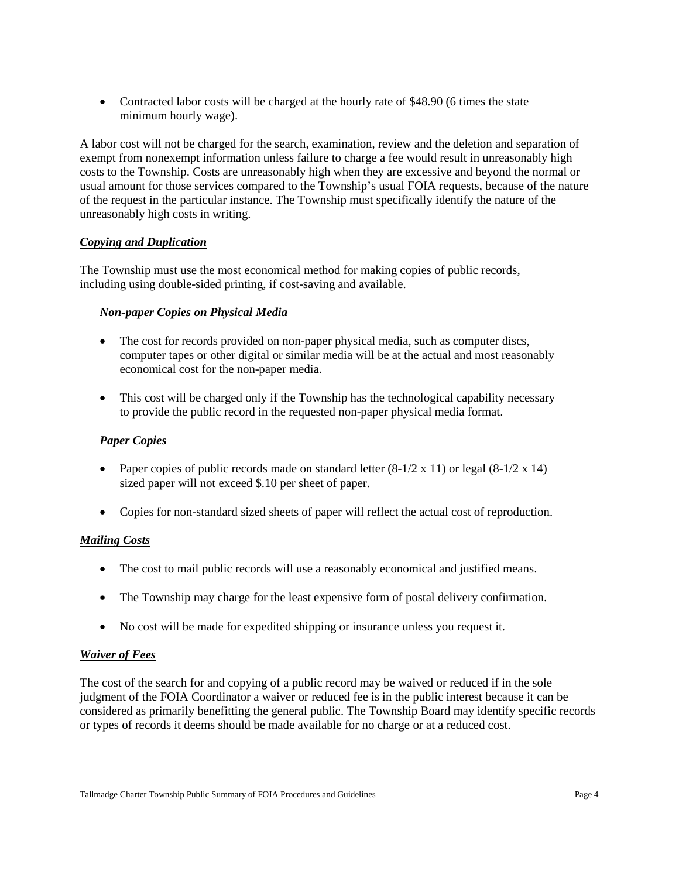• Contracted labor costs will be charged at the hourly rate of \$48.90 (6 times the state minimum hourly wage).

A labor cost will not be charged for the search, examination, review and the deletion and separation of exempt from nonexempt information unless failure to charge a fee would result in unreasonably high costs to the Township. Costs are unreasonably high when they are excessive and beyond the normal or usual amount for those services compared to the Township's usual FOIA requests, because of the nature of the request in the particular instance. The Township must specifically identify the nature of the unreasonably high costs in writing.

### *Copying and Duplication*

The Township must use the most economical method for making copies of public records, including using double-sided printing, if cost-saving and available.

### *Non-paper Copies on Physical Media*

- The cost for records provided on non-paper physical media, such as computer discs, computer tapes or other digital or similar media will be at the actual and most reasonably economical cost for the non-paper media.
- This cost will be charged only if the Township has the technological capability necessary to provide the public record in the requested non-paper physical media format.

### *Paper Copies*

- Paper copies of public records made on standard letter  $(8-1/2 \times 11)$  or legal  $(8-1/2 \times 14)$ sized paper will not exceed \$.10 per sheet of paper.
- Copies for non-standard sized sheets of paper will reflect the actual cost of reproduction.

### *Mailing Costs*

- The cost to mail public records will use a reasonably economical and justified means.
- The Township may charge for the least expensive form of postal delivery confirmation.
- No cost will be made for expedited shipping or insurance unless you request it.

### *Waiver of Fees*

The cost of the search for and copying of a public record may be waived or reduced if in the sole judgment of the FOIA Coordinator a waiver or reduced fee is in the public interest because it can be considered as primarily benefitting the general public. The Township Board may identify specific records or types of records it deems should be made available for no charge or at a reduced cost.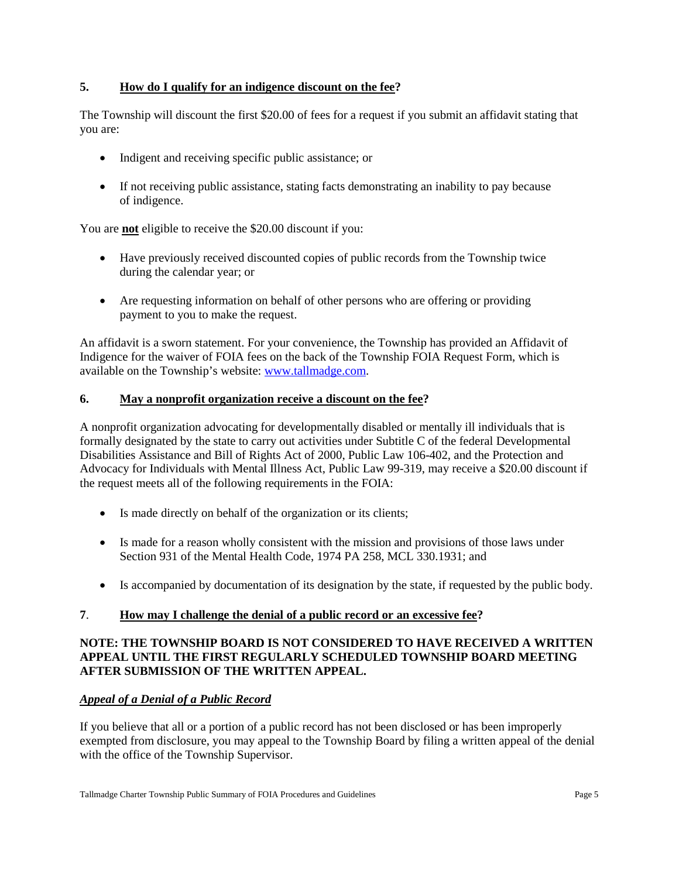### **5. How do I qualify for an indigence discount on the fee?**

The Township will discount the first \$20.00 of fees for a request if you submit an affidavit stating that you are:

- Indigent and receiving specific public assistance; or
- If not receiving public assistance, stating facts demonstrating an inability to pay because of indigence.

You are **not** eligible to receive the \$20.00 discount if you:

- Have previously received discounted copies of public records from the Township twice during the calendar year; or
- Are requesting information on behalf of other persons who are offering or providing payment to you to make the request.

An affidavit is a sworn statement. For your convenience, the Township has provided an Affidavit of Indigence for the waiver of FOIA fees on the back of the Township FOIA Request Form, which is available on the Township's website: [www.tallmadge.com.](http://www.tallmadge.com/)

### **6. May a nonprofit organization receive a discount on the fee?**

A nonprofit organization advocating for developmentally disabled or mentally ill individuals that is formally designated by the state to carry out activities under Subtitle C of the federal Developmental Disabilities Assistance and Bill of Rights Act of 2000, Public Law 106-402, and the Protection and Advocacy for Individuals with Mental Illness Act, Public Law 99-319, may receive a \$20.00 discount if the request meets all of the following requirements in the FOIA:

- Is made directly on behalf of the organization or its clients;
- Is made for a reason wholly consistent with the mission and provisions of those laws under Section 931 of the Mental Health Code, 1974 PA 258, MCL 330.1931; and
- Is accompanied by documentation of its designation by the state, if requested by the public body.

### **7**. **How may I challenge the denial of a public record or an excessive fee?**

### **NOTE: THE TOWNSHIP BOARD IS NOT CONSIDERED TO HAVE RECEIVED A WRITTEN APPEAL UNTIL THE FIRST REGULARLY SCHEDULED TOWNSHIP BOARD MEETING AFTER SUBMISSION OF THE WRITTEN APPEAL.**

### *Appeal of a Denial of a Public Record*

If you believe that all or a portion of a public record has not been disclosed or has been improperly exempted from disclosure, you may appeal to the Township Board by filing a written appeal of the denial with the office of the Township Supervisor.